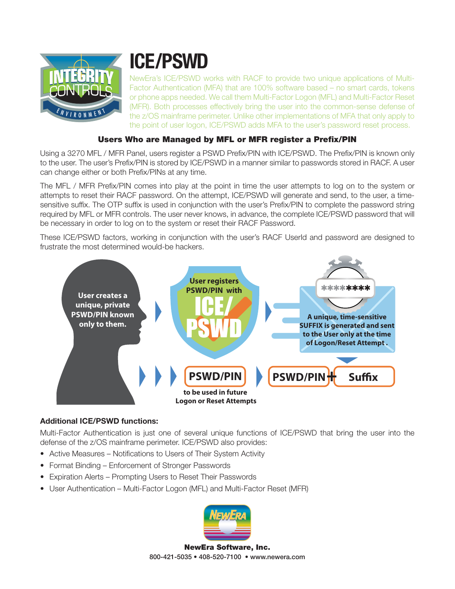

# ICE/PSWD

NewEra's ICE/PSWD works with RACF to provide two unique applications of Multi-Factor Authentication (MFA) that are 100% software based – no smart cards, tokens or phone apps needed. We call them Multi-Factor Logon (MFL) and Multi-Factor Reset (MFR). Both processes effectively bring the user into the common-sense defense of the z/OS mainframe perimeter. Unlike other implementations of MFA that only apply to the point of user logon, ICE/PSWD adds MFA to the user's password reset process.

## Users Who are Managed by MFL or MFR register a Prefix/PIN

Using a 3270 MFL / MFR Panel, users register a PSWD Prefix/PIN with ICE/PSWD. The Prefix/PIN is known only to the user. The user's Prefix/PIN is stored by ICE/PSWD in a manner similar to passwords stored in RACF. A user can change either or both Prefix/PINs at any time.

The MFL / MFR Prefix/PIN comes into play at the point in time the user attempts to log on to the system or attempts to reset their RACF password. On the attempt, ICE/PSWD will generate and send, to the user, a timesensitive suffix. The OTP suffix is used in conjunction with the user's Prefix/PIN to complete the password string required by MFL or MFR controls. The user never knows, in advance, the complete ICE/PSWD password that will be necessary in order to log on to the system or reset their RACF Password.

These ICE/PSWD factors, working in conjunction with the user's RACF UserId and password are designed to frustrate the most determined would-be hackers.



#### Additional ICE/PSWD functions:

Multi-Factor Authentication is just one of several unique functions of ICE/PSWD that bring the user into the defense of the z/OS mainframe perimeter. ICE/PSWD also provides:

- Active Measures Notifications to Users of Their System Activity
- Format Binding Enforcement of Stronger Passwords
- Expiration Alerts Prompting Users to Reset Their Passwords
- User Authentication Multi-Factor Logon (MFL) and Multi-Factor Reset (MFR)



NewEra Software, Inc. 800-421-5035 • 408-520-7100 • www.newera.com